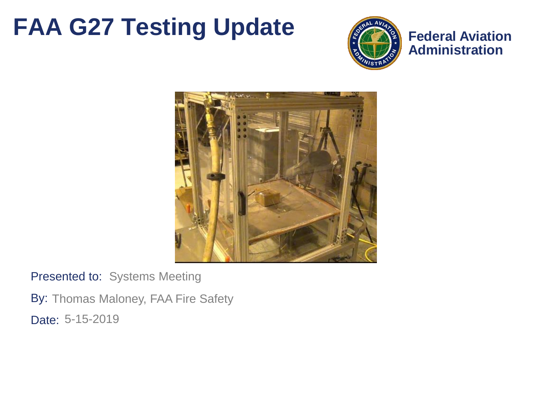### **FAA G27 Testing Update**



**Federal Aviation Administration**



Presented to: Systems Meeting

By: Thomas Maloney, FAA Fire Safety Date: 5-15-2019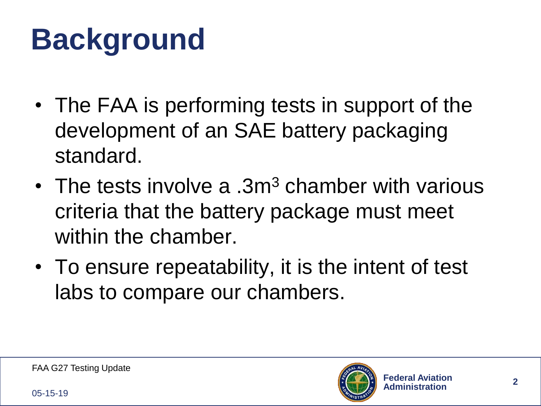# **Background**

- The FAA is performing tests in support of the development of an SAE battery packaging standard.
- The tests involve a  $3m<sup>3</sup>$  chamber with various criteria that the battery package must meet within the chamber.
- To ensure repeatability, it is the intent of test labs to compare our chambers.

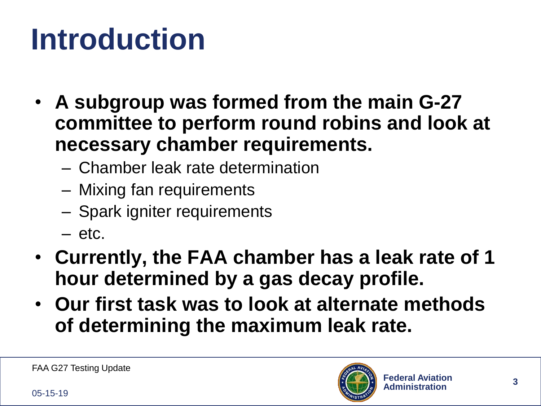# **Introduction**

- **A subgroup was formed from the main G-27 committee to perform round robins and look at necessary chamber requirements.**
	- Chamber leak rate determination
	- Mixing fan requirements
	- Spark igniter requirements
	- $-$  etc.
- **Currently, the FAA chamber has a leak rate of 1 hour determined by a gas decay profile.**
- **Our first task was to look at alternate methods of determining the maximum leak rate.**

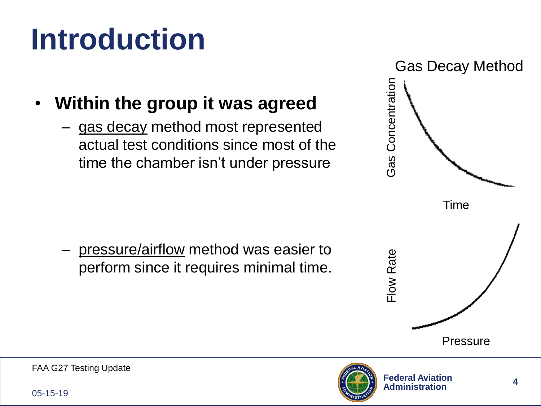# **Introduction**

- **Within the group it was agreed** 
	- gas decay method most represented actual test conditions since most of the time the chamber isn't under pressure

– pressure/airflow method was easier to perform since it requires minimal time.



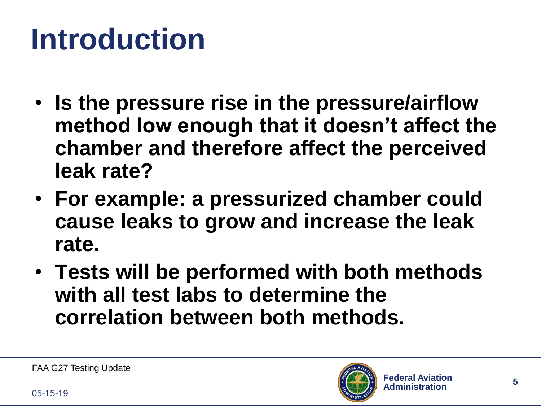# **Introduction**

- **Is the pressure rise in the pressure/airflow method low enough that it doesn't affect the chamber and therefore affect the perceived leak rate?**
- **For example: a pressurized chamber could cause leaks to grow and increase the leak rate.**
- **Tests will be performed with both methods with all test labs to determine the correlation between both methods.**

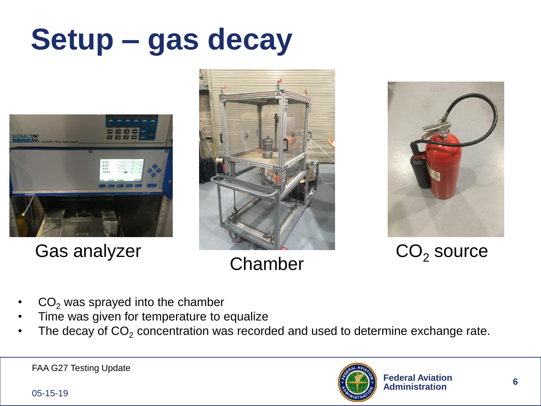# **Setup – gas decay**







Gas analyzer  $CO<sub>2</sub>$  source

- **Chamber**
- $CO<sub>2</sub>$  was sprayed into the chamber
- Time was given for temperature to equalize
- The decay of  $CO<sub>2</sub>$  concentration was recorded and used to determine exchange rate.



05-15-19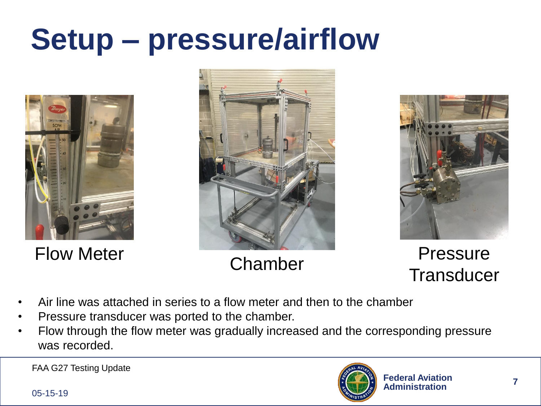# **Setup – pressure/airflow**







Flow Meter Chamber Pressure Transducer

- Air line was attached in series to a flow meter and then to the chamber
- Pressure transducer was ported to the chamber.
- Flow through the flow meter was gradually increased and the corresponding pressure was recorded.

FAA G27 Testing Update



05-15-19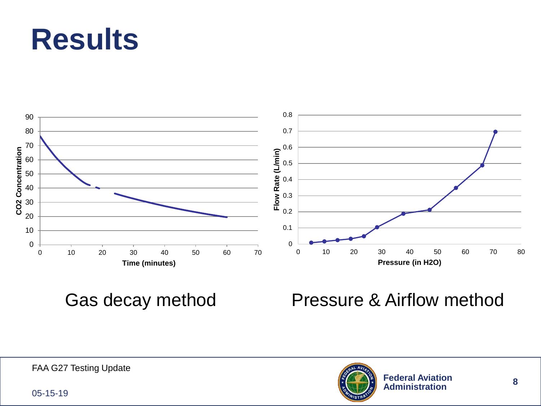## **Results**



### Gas decay method Pressure & Airflow method



05-15-19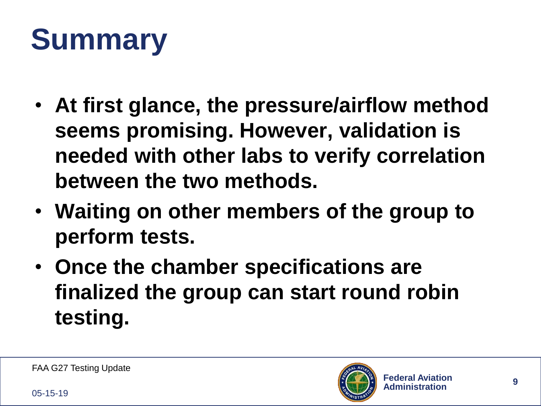# **Summary**

- **At first glance, the pressure/airflow method seems promising. However, validation is needed with other labs to verify correlation between the two methods.**
- **Waiting on other members of the group to perform tests.**
- **Once the chamber specifications are finalized the group can start round robin testing.**